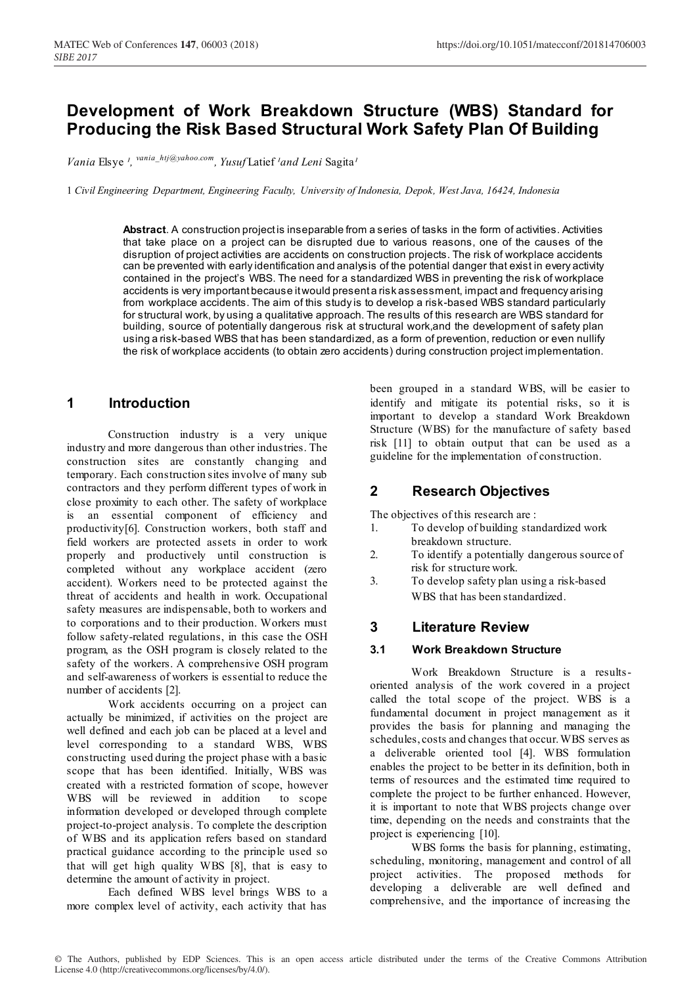# **Development of Work Breakdown Structure (WBS) Standard for Producing the Risk Based Structural Work Safety Plan Of Building**

*Vania* Elsye<sup>1</sup>, <sup>*vania\_htj@yahoo.com*, *Yusuf* Latief <sup>1</sup>and Leni Sagita<sup>1</sup></sup>

1 *Civil Engineering Department, Engineering Faculty, University of Indonesia, Depok, West Java, 16424, Indonesia*

**Abstract**. A construction project is inseparable from a series of tasks in the form of activities. Activities that take place on a project can be disrupted due to various reasons, one of the causes of the disruption of project activities are accidents on construction projects. The risk of workplace accidents can be prevented with early identification and analysis of the potential danger that exist in every activity contained in the project's WBS. The need for a standardized WBS in preventing the risk of workplace accidents is very important because it would present a risk assessment, impact and frequency arising from workplace accidents. The aim of this study is to develop a risk-based WBS standard particularly for structural work, by using a qualitative approach. The results of this research are WBS standard for building, source of potentially dangerous risk at structural work,and the development of safety plan using a risk-based WBS that has been standardized, as a form of prevention, reduction or even nullify the risk of workplace accidents (to obtain zero accidents) during construction project implementation.

## **1 Introduction**

Construction industry is a very unique industry and more dangerous than other industries. The construction sites are constantly changing and temporary. Each construction sites involve of many sub contractors and they perform different types of work in close proximity to each other. The safety of workplace is an essential component of efficiency and productivity[6]. Construction workers, both staff and field workers are protected assets in order to work properly and productively until construction is completed without any workplace accident (zero accident). Workers need to be protected against the threat of accidents and health in work. Occupational safety measures are indispensable, both to workers and to corporations and to their production. Workers must follow safety-related regulations, in this case the OSH program, as the OSH program is closely related to the safety of the workers. A comprehensive OSH program and self-awareness of workers is essential to reduce the number of accidents [2].

Work accidents occurring on a project can actually be minimized, if activities on the project are well defined and each job can be placed at a level and level corresponding to a standard WBS, WBS constructing used during the project phase with a basic scope that has been identified. Initially, WBS was created with a restricted formation of scope, however WBS will be reviewed in addition to scope information developed or developed through complete project-to-project analysis. To complete the description of WBS and its application refers based on standard practical guidance according to the principle used so that will get high quality WBS [8], that is easy to determine the amount of activity in project.

Each defined WBS level brings WBS to a more complex level of activity, each activity that has

been grouped in a standard WBS, will be easier to identify and mitigate its potential risks, so it is important to develop a standard Work Breakdown Structure (WBS) for the manufacture of safety based risk [11] to obtain output that can be used as a guideline for the implementation of construction.

# **2 Research Objectives**

The objectives of this research are :

- 1. To develop of building standardized work breakdown structure.
- 2. To identify a potentially dangerous source of risk for structure work.
- 3. To develop safety plan using a risk-based WBS that has been standardized.

## **3 Literature Review**

### **3.1 Work Breakdown Structure**

Work Breakdown Structure is a resultsoriented analysis of the work covered in a project called the total scope of the project. WBS is a fundamental document in project management as it provides the basis for planning and managing the schedules, costs and changes that occur. WBS serves as a deliverable oriented tool [4]. WBS formulation enables the project to be better in its definition, both in terms of resources and the estimated time required to complete the project to be further enhanced. However, it is important to note that WBS projects change over time, depending on the needs and constraints that the project is experiencing [10].

WBS forms the basis for planning, estimating, scheduling, monitoring, management and control of all project activities. The proposed methods for developing a deliverable are well defined and comprehensive, and the importance of increasing the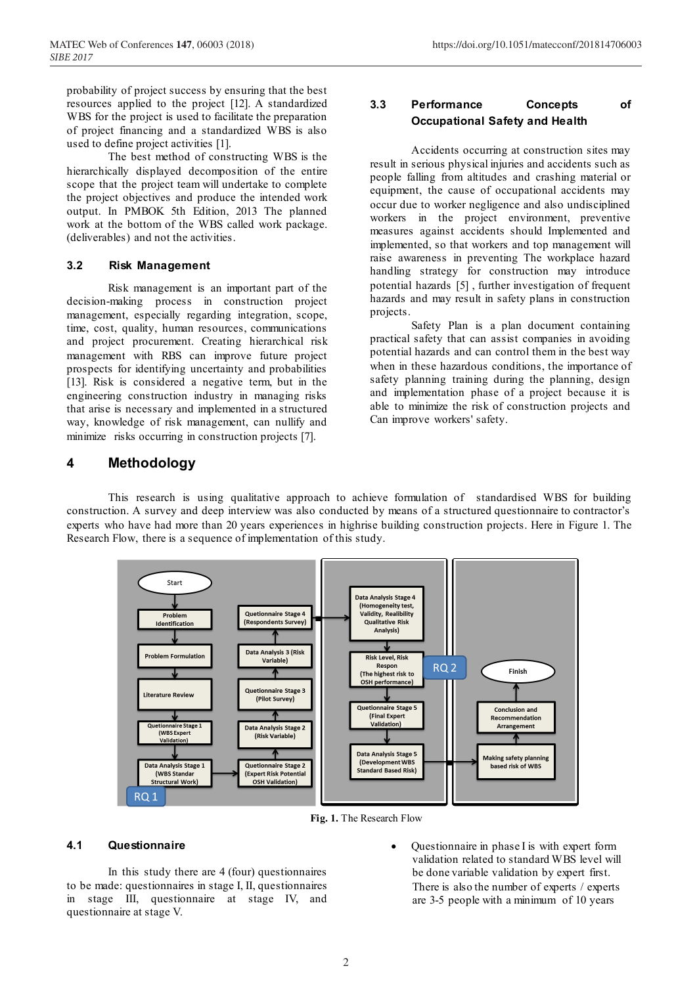probability of project success by ensuring that the best resources applied to the project [12]. A standardized WBS for the project is used to facilitate the preparation of project financing and a standardized WBS is also used to define project activities [1].

The best method of constructing WBS is the hierarchically displayed decomposition of the entire scope that the project team will undertake to complete the project objectives and produce the intended work output. In PMBOK 5th Edition, 2013 The planned work at the bottom of the WBS called work package. (deliverables) and not the activities.

#### **3.2 Risk Management**

Risk management is an important part of the decision-making process in construction project management, especially regarding integration, scope, time, cost, quality, human resources, communications and project procurement. Creating hierarchical risk management with RBS can improve future project prospects for identifying uncertainty and probabilities [13]. Risk is considered a negative term, but in the engineering construction industry in managing risks that arise is necessary and implemented in a structured way, knowledge of risk management, can nullify and minimize risks occurring in construction projects [7].

### **3.3 Performance Concepts of Occupational Safety and Health**

Accidents occurring at construction sites may result in serious physical injuries and accidents such as people falling from altitudes and crashing material or equipment, the cause of occupational accidents may occur due to worker negligence and also undisciplined workers in the project environment, preventive measures against accidents should Implemented and implemented, so that workers and top management will raise awareness in preventing The workplace hazard handling strategy for construction may introduce potential hazards [5] , further investigation of frequent hazards and may result in safety plans in construction projects.

Safety Plan is a plan document containing practical safety that can assist companies in avoiding potential hazards and can control them in the best way when in these hazardous conditions, the importance of safety planning training during the planning, design and implementation phase of a project because it is able to minimize the risk of construction projects and Can improve workers' safety.

### **4 Methodology**

This research is using qualitative approach to achieve formulation of standardised WBS for building construction. A survey and deep interview was also conducted by means of a structured questionnaire to contractor's experts who have had more than 20 years experiences in highrise building construction projects. Here in Figure 1. The Research Flow, there is a sequence of implementation of this study.



 **Fig. 1.** The Research Flow

#### **4.1 Questionnaire**

In this study there are 4 (four) questionnaires to be made: questionnaires in stage I, II, questionnaires in stage III, questionnaire at stage IV, and questionnaire at stage V.

 Questionnaire in phase I is with expert form validation related to standard WBS level will be done variable validation by expert first. There is also the number of experts / experts are 3-5 people with a minimum of 10 years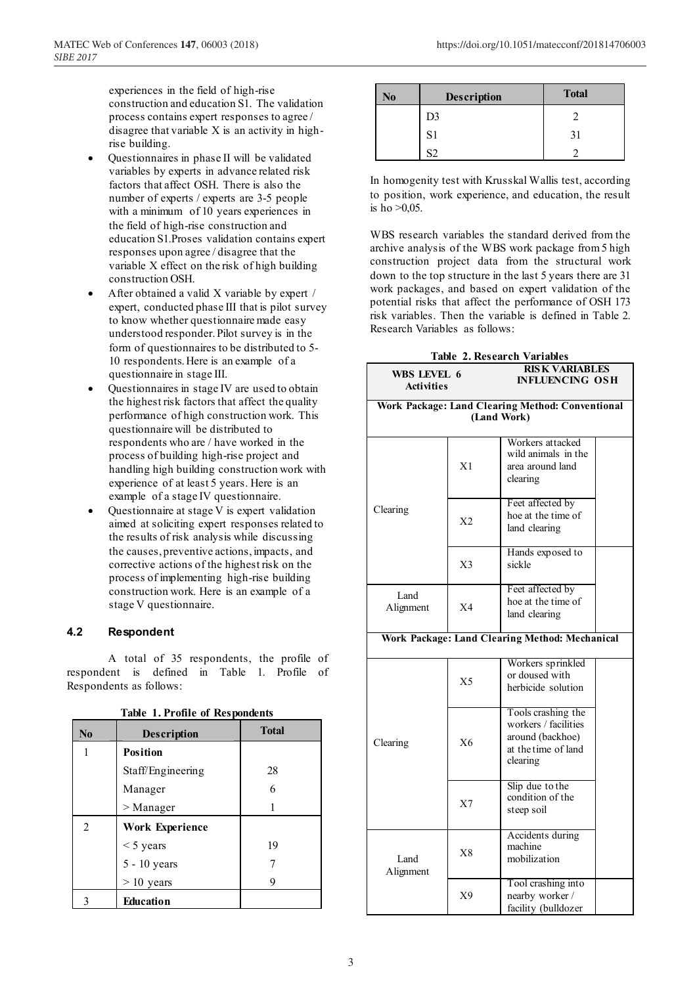experiences in the field of high-rise construction and education S1. The validation process contains expert responses to agree / disagree that variable X is an activity in highrise building.

- Questionnaires in phase II will be validated variables by experts in advance related risk factors that affect OSH. There is also the number of experts / experts are 3-5 people with a minimum of 10 years experiences in the field of high-rise construction and education S1.Proses validation contains expert responses upon agree / disagree that the variable X effect on the risk of high building construction OSH.
- After obtained a valid X variable by expert / expert, conducted phase III that is pilot survey to know whether questionnaire made easy understood responder. Pilot survey is in the form of questionnaires to be distributed to 5- 10 respondents. Here is an example of a questionnaire in stage III.
- Questionnaires in stage IV are used to obtain the highest risk factors that affect the quality performance of high construction work. This questionnaire will be distributed to respondents who are / have worked in the process of building high-rise project and handling high building construction work with experience of at least 5 years. Here is an example of a stage IV questionnaire.
- Questionnaire at stage V is expert validation aimed at soliciting expert responses related to the results of risk analysis while discussing the causes, preventive actions, impacts, and corrective actions of the highest risk on the process of implementing high-rise building construction work. Here is an example of a stage V questionnaire.

### **4.2 Respondent**

A total of 35 respondents, the profile of respondent is defined in Table 1. Profile of Respondents as follows:

| $\bf No$ | <b>Description</b>     | <b>Total</b> |
|----------|------------------------|--------------|
|          | <b>Position</b>        |              |
|          | Staff/Engineering      | 28           |
|          | Manager                | 6            |
|          | $>$ Manager            |              |
| 2        | <b>Work Experience</b> |              |
|          | $<$ 5 years            | 19           |
|          | 5 - 10 years           |              |
|          | $> 10$ years           | 9            |
|          | Education              |              |

**Table 1. Profile of Respondents**

| No | Description | <b>Total</b> |
|----|-------------|--------------|
|    | D3          |              |
|    | S1          |              |
|    |             |              |

In homogenity test with Krusskal Wallis test, according to position, work experience, and education, the result is ho  $>0.05$ .

WBS research variables the standard derived from the archive analysis of the WBS work package from 5 high construction project data from the structural work down to the top structure in the last 5 years there are 31 work packages, and based on expert validation of the potential risks that affect the performance of OSH 173 risk variables. Then the variable is defined in Table 2. Research Variables as follows:

| <b>Table 2. Research Variables</b>                              |                |                                                                         |  |  |
|-----------------------------------------------------------------|----------------|-------------------------------------------------------------------------|--|--|
| WBS LEVEL 6<br><b>Activities</b>                                |                | <b>RISK VARIABLES</b><br><b>INFLUENCING OSH</b>                         |  |  |
| Work Package: Land Clearing Method: Conventional<br>(Land Work) |                |                                                                         |  |  |
|                                                                 | X <sub>1</sub> | Workers attacked<br>wild animals in the<br>area around land<br>clearing |  |  |
| Clearing                                                        | X2             | Feet affected by<br>hoe at the time of<br>land clearing                 |  |  |
|                                                                 | X <sub>3</sub> | Hands exposed to<br>sickle                                              |  |  |
| L <sub>and</sub><br>Alignment                                   | X <sub>4</sub> | Feet affected by<br>hoe at the time of<br>land clearing                 |  |  |
| Work Package: Land Clearing Method: Mechanical                  |                |                                                                         |  |  |
|                                                                 |                |                                                                         |  |  |

| WOTK FACKAGE; LAHU CTEATING METHOU; MECHANICAL |                |                                                                                                   |  |
|------------------------------------------------|----------------|---------------------------------------------------------------------------------------------------|--|
| Clearing                                       | X <sub>5</sub> | Workers sprinkled<br>or doused with<br>herbicide solution                                         |  |
|                                                | X6             | Tools crashing the<br>workers / facilities<br>around (backhoe)<br>at the time of land<br>clearing |  |
|                                                | X <sub>7</sub> | Slip due to the<br>condition of the<br>steep soil                                                 |  |
| Land<br>Alignment                              | X8             | Accidents during<br>machine<br>mobilization                                                       |  |
|                                                | X9             | Tool crashing into<br>nearby worker /<br>facility (bulldozer                                      |  |
|                                                |                |                                                                                                   |  |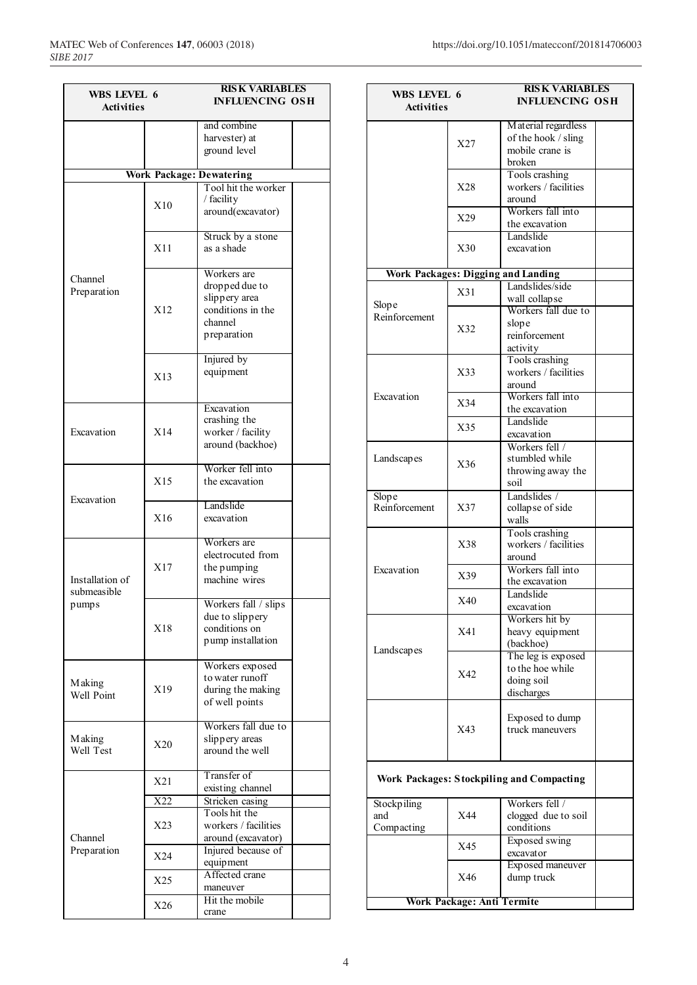| WBS LEVEL 6           |                  | <b>RISK VARIABLES</b>              |  |
|-----------------------|------------------|------------------------------------|--|
| <b>Activities</b>     |                  | <b>INFLUENCING OSH</b>             |  |
|                       |                  |                                    |  |
|                       |                  | and combine<br>harvester) at       |  |
|                       |                  | ground level                       |  |
|                       |                  |                                    |  |
|                       |                  | <b>Work Package: Dewatering</b>    |  |
|                       |                  | Tool hit the worker                |  |
|                       |                  | / facility                         |  |
|                       | X10              | around(excavator)                  |  |
|                       |                  |                                    |  |
|                       |                  | Struck by a stone                  |  |
|                       | X11              | as a shade                         |  |
|                       |                  |                                    |  |
| Channel               |                  | Workers are                        |  |
| Preparation           |                  | dropped due to                     |  |
|                       | X12              | slippery area<br>conditions in the |  |
|                       |                  | channel                            |  |
|                       |                  | preparation                        |  |
|                       |                  |                                    |  |
|                       |                  | Injured by                         |  |
|                       |                  | equipment                          |  |
|                       | X13              |                                    |  |
|                       |                  |                                    |  |
|                       |                  | Excavation                         |  |
|                       |                  | crashing the                       |  |
| Excavation            | X14              | worker / facility                  |  |
|                       |                  | around (backhoe)                   |  |
|                       |                  | Worker fell into                   |  |
|                       | X15              | the excavation                     |  |
|                       |                  |                                    |  |
| Excavation            |                  | Landslide                          |  |
|                       | X16              | excavation                         |  |
|                       |                  |                                    |  |
|                       |                  | Workers are                        |  |
|                       |                  | electrocuted from                  |  |
|                       | X17              | the pumping                        |  |
| Installation of       |                  | machine wires                      |  |
| submeasible           |                  |                                    |  |
| pumps                 |                  | Workers fall / slips               |  |
|                       | X18              | due to slippery<br>conditions on   |  |
|                       |                  | pump installation                  |  |
|                       |                  |                                    |  |
|                       |                  | Workers exposed                    |  |
|                       |                  | to water runoff                    |  |
| M aking<br>Well Point | X19              | during the making                  |  |
|                       |                  | of well points                     |  |
|                       |                  |                                    |  |
|                       |                  | Workers fall due to                |  |
| <b>Making</b>         | X20              | slippery areas<br>around the well  |  |
| Well Test             |                  |                                    |  |
|                       |                  | Transfer of                        |  |
|                       | X21              | existing channel                   |  |
|                       | $\overline{X22}$ | Stricken casing                    |  |
|                       |                  | Tools hit the                      |  |
|                       | X23              | workers / facilities               |  |
| Channel               |                  | around (excavator)                 |  |
| Preparation           | X24              | Injured because of                 |  |
|                       |                  | equipment                          |  |
|                       | X25              | Affected crane                     |  |
|                       |                  | maneuver                           |  |
|                       | X26              | Hit the mobile                     |  |
|                       |                  | crane                              |  |

| WBS LEVEL 6<br><b>Activities</b> |                                           | <b>RISK VARIABLES</b><br><b>INFLUENCING OSH</b>                         |  |
|----------------------------------|-------------------------------------------|-------------------------------------------------------------------------|--|
|                                  | X27                                       | Material regardless<br>of the hook / sling<br>mobile crane is<br>broken |  |
|                                  | X28                                       | Tools crashing<br>workers / facilities<br>around                        |  |
|                                  | X29                                       | Workers fall into<br>the excavation                                     |  |
|                                  | X30                                       | Landslide<br>excavation                                                 |  |
|                                  |                                           | <b>Work Packages: Digging and Landing</b>                               |  |
| Slope                            | X31                                       | Landslides/side<br>wall collapse<br>Workers fall due to                 |  |
| Reinforcement                    | X32                                       | slope<br>reinforcement<br>activity                                      |  |
|                                  | X33                                       | Tools crashing<br>workers / facilities<br>around                        |  |
| Excavation                       | X34                                       | Workers fall into<br>the excavation                                     |  |
|                                  | X35                                       | Landslide<br>excavation                                                 |  |
| Landscapes                       | X36                                       | Workers fell /<br>stumbled while<br>throwing away the<br>soil           |  |
| Slope<br>Reinforcement           | X37                                       | Landslides /<br>collapse of side<br>walls                               |  |
|                                  | X38                                       | Tools crashing<br>workers / facilities<br>around                        |  |
| Excavation                       | X39                                       | Workers fall into<br>the excavation                                     |  |
|                                  | X40                                       | Landslide<br>excavation                                                 |  |
| Landscapes                       | X41                                       | Workers hit by<br>heavy equipment<br>(backhoe)                          |  |
|                                  | X42                                       | The leg is exposed<br>to the hoe while<br>doing soil<br>discharges      |  |
|                                  | X43                                       | Exposed to dump<br>truck maneuvers                                      |  |
|                                  | Work Packages: Stockpiling and Compacting |                                                                         |  |
| Stockpiling<br>and<br>Compacting | X44                                       | Workers fell /<br>clogged due to soil<br>conditions                     |  |
|                                  | X45                                       | Exposed swing<br>excavator                                              |  |
|                                  | X46                                       | Exposed maneuver<br>dump truck                                          |  |
|                                  | <b>Work Package: Anti Termite</b>         |                                                                         |  |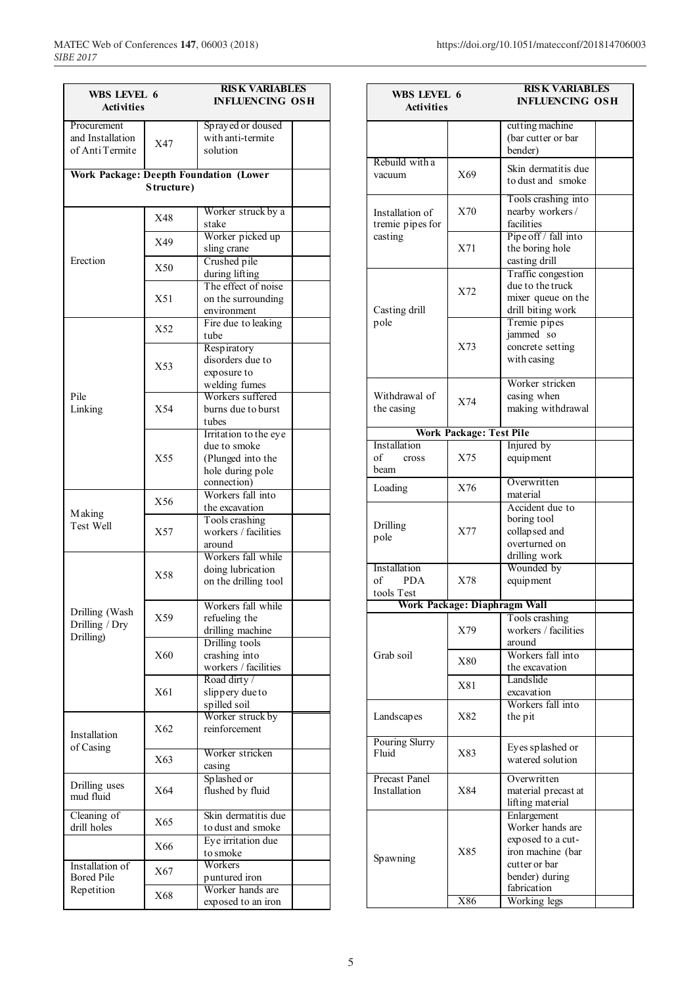| WBS LEVEL 6                          |            | <b>RISK VARIABLES</b>                         |
|--------------------------------------|------------|-----------------------------------------------|
| <b>Activities</b>                    |            | <b>INFLUENCING OSH</b>                        |
|                                      |            |                                               |
| Procurement                          |            | Sprayed or doused                             |
| and Installation                     | X47        | with anti-termite                             |
| of Anti Termite                      |            | solution                                      |
|                                      |            |                                               |
|                                      |            | <b>Work Package: Deepth Foundation (Lower</b> |
|                                      | Structure) |                                               |
|                                      |            |                                               |
|                                      | X48        | Worker struck by a                            |
|                                      |            | stake                                         |
|                                      | X49        | Worker picked up                              |
|                                      |            | sling crane                                   |
| Erection                             | X50        | Crushed pile                                  |
|                                      |            | during lifting                                |
|                                      |            | The effect of noise                           |
|                                      | X51        | on the surrounding                            |
|                                      |            | environment                                   |
|                                      | X52        | Fire due to leaking                           |
|                                      |            | tube                                          |
|                                      |            | Respiratory                                   |
|                                      | X53        | disorders due to                              |
|                                      |            | exposure to                                   |
| Pile                                 |            | welding fumes<br>Workers suffered             |
|                                      | X54        | burns due to burst                            |
| Linking                              |            |                                               |
|                                      |            | tubes                                         |
|                                      |            | Irritation to the eye<br>due to smoke         |
|                                      | X55        | (Plunged into the                             |
|                                      |            |                                               |
|                                      |            | hole during pole<br>connection)               |
|                                      |            | Workers fall into                             |
|                                      | X56        |                                               |
| Making                               |            | the excavation<br>Tools crashing              |
| Test Well                            | X57        | workers / facilities                          |
|                                      |            | around                                        |
|                                      |            | Workers fall while                            |
|                                      |            | doing lubrication                             |
|                                      | X58        | on the drilling tool                          |
|                                      |            |                                               |
|                                      |            | Workers fall while                            |
| Drilling (Wash                       | X59        | refueling the                                 |
| Drilling / Dry                       |            | drilling machine                              |
| Drilling)                            |            | Drilling tools                                |
|                                      | X60        | crashing into                                 |
|                                      |            | workers / facilities                          |
|                                      |            | Road dirty /                                  |
|                                      | X61        | slippery due to                               |
|                                      |            | spilled soil                                  |
|                                      |            | Worker struck by                              |
|                                      | X62        | reinforcement                                 |
| Installation                         |            |                                               |
| of Casing                            |            | Worker stricken                               |
|                                      | X63        | casing                                        |
|                                      |            | Splashed or                                   |
| Drilling uses<br>mud fluid           | X64        | flushed by fluid                              |
|                                      |            |                                               |
| Cleaning of                          |            | Skin dermatitis due                           |
| drill holes                          | X65        | to dust and smoke                             |
|                                      |            |                                               |
|                                      |            |                                               |
|                                      | X66        | Eye irritation due<br>to smoke                |
|                                      |            | Workers                                       |
| Installation of<br><b>Bored Pile</b> | X67        |                                               |
| Repetition                           | X68        | puntured iron<br>Worker hands are             |

| WBS LEVEL 6                    |                                | <b>RISK VARIABLES</b>                   |  |
|--------------------------------|--------------------------------|-----------------------------------------|--|
| <b>Activities</b>              |                                | <b>INFLUENCING OSH</b>                  |  |
|                                |                                |                                         |  |
|                                |                                | cutting machine                         |  |
|                                |                                | (bar cutter or bar<br>bender)           |  |
| Rebuild with a                 |                                |                                         |  |
| vacuum                         | X69                            | Skin dermatitis due                     |  |
|                                |                                | to dust and smoke                       |  |
|                                |                                | Tools crashing into                     |  |
| Installation of                | X70                            | nearby workers/                         |  |
| tremie pipes for               |                                | facilities                              |  |
| casting                        |                                | Pipe off / fall into                    |  |
|                                | X71                            | the boring hole                         |  |
|                                |                                | casting drill                           |  |
|                                |                                | Traffic congestion                      |  |
|                                | X72                            | due to the truck                        |  |
| Casting drill                  |                                | mixer queue on the<br>drill biting work |  |
| pole                           |                                | Tremie pipes                            |  |
|                                |                                | jammed so                               |  |
|                                | X73                            | concrete setting                        |  |
|                                |                                | with casing                             |  |
|                                |                                |                                         |  |
|                                |                                | Worker stricken                         |  |
| Withdrawal of                  | X74                            | casing when                             |  |
| the casing                     |                                | making withdrawal                       |  |
|                                |                                |                                         |  |
| Installation                   | <b>Work Package: Test Pile</b> | Injured by                              |  |
| of<br>cross                    | X75                            | equipment                               |  |
| beam                           |                                |                                         |  |
|                                |                                | Overwritten                             |  |
| Loading                        | X76                            | material                                |  |
|                                |                                | Accident due to                         |  |
| Drilling                       |                                | boring tool                             |  |
| pole                           | X77                            | collapsed and                           |  |
|                                |                                | overturned on                           |  |
|                                |                                | drilling work                           |  |
| Installation<br><b>PDA</b>     |                                | Wounded by                              |  |
| of<br>tools Test               | X78                            | equipment                               |  |
|                                | Work Package: Diaphragm Wall   |                                         |  |
|                                |                                | Tools crashing                          |  |
|                                | X79                            | workers / facilities                    |  |
|                                |                                | around                                  |  |
| Grab soil                      |                                | Workers fall into                       |  |
|                                | X80                            | the excavation                          |  |
|                                | X81                            | Landslide                               |  |
|                                |                                | excavation                              |  |
|                                |                                | Workers fall into                       |  |
| Landscapes                     | X82                            | the pit                                 |  |
|                                |                                |                                         |  |
| <b>Pouring Slurry</b><br>Fluid | X83                            | Eyes splashed or                        |  |
|                                |                                | watered solution                        |  |
| Precast Panel                  |                                | Overwritten                             |  |
| Installation                   | X84                            | material precast at                     |  |
|                                |                                | lifting material                        |  |
|                                |                                | Enlargement                             |  |
|                                |                                | Worker hands are                        |  |
|                                |                                | exposed to a cut-                       |  |
| Spawning                       | X85                            | iron machine (bar                       |  |
|                                |                                | cutter or bar                           |  |
|                                |                                | bender) during                          |  |
|                                |                                | fabrication                             |  |
|                                | X86                            | Working legs                            |  |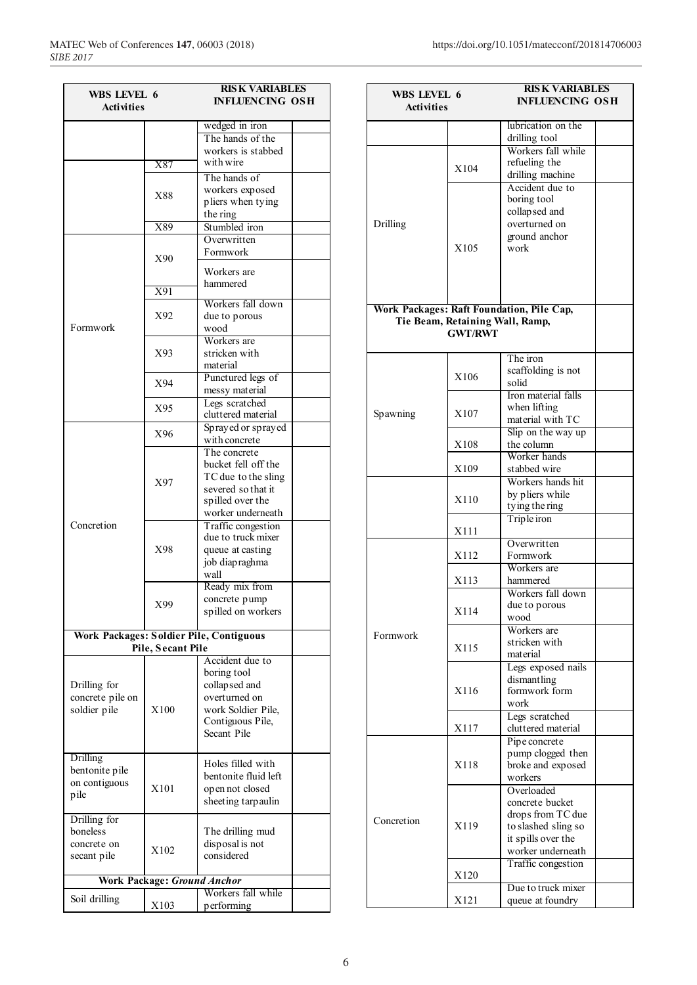| WBS LEVEL 6                             |                                    | <b>RISK VARIABLES</b>                  |
|-----------------------------------------|------------------------------------|----------------------------------------|
| <b>Activities</b>                       |                                    | <b>INFLUENCING OSH</b>                 |
|                                         |                                    | wedged in iron                         |
|                                         |                                    | The hands of the                       |
|                                         |                                    | workers is stabbed                     |
|                                         | X87                                | with wire                              |
|                                         |                                    | The hands of                           |
|                                         |                                    | workers exposed                        |
|                                         | X88                                | pliers when tying                      |
|                                         |                                    | the ring                               |
|                                         | X89                                | Stumbled iron                          |
|                                         |                                    | Overwritten                            |
|                                         | X90                                | Formwork                               |
|                                         |                                    | Workers are                            |
|                                         |                                    | hammered                               |
|                                         | X91                                |                                        |
|                                         |                                    | Workers fall down                      |
|                                         | X92                                | due to porous                          |
| Formwork                                |                                    | wood                                   |
|                                         |                                    | Workers are                            |
|                                         | X93                                | stricken with                          |
|                                         |                                    | material                               |
|                                         | X94                                | Punctured legs of                      |
|                                         |                                    | messy material<br>Legs scratched       |
|                                         | X95                                | cluttered material                     |
|                                         |                                    | Sprayed or sprayed                     |
|                                         | X96                                | with concrete                          |
|                                         |                                    | The concrete                           |
|                                         |                                    | bucket fell off the                    |
|                                         |                                    | TC due to the sling                    |
|                                         | X97                                | severed so that it                     |
|                                         |                                    | spilled over the                       |
|                                         |                                    | worker underneath                      |
| Concretion                              |                                    | Traffic congestion                     |
|                                         |                                    | due to truck mixer                     |
|                                         | X98                                | queue at casting                       |
|                                         |                                    | job diapraghma                         |
|                                         |                                    | wall                                   |
|                                         |                                    | Ready mix from                         |
|                                         | X99                                | concrete pump                          |
|                                         |                                    | spilled on workers                     |
| Work Packages: Soldier Pile, Contiguous |                                    |                                        |
|                                         | Pile, Secant Pile                  |                                        |
|                                         |                                    | Accident due to                        |
|                                         |                                    | boring tool                            |
| Drilling for                            |                                    | collapsed and                          |
| concrete pile on                        | X100                               | overturned on                          |
| soldier pile                            |                                    | work Soldier Pile,<br>Contiguous Pile, |
|                                         |                                    | Secant Pile                            |
|                                         |                                    |                                        |
| <b>Drilling</b>                         |                                    |                                        |
| bentonite pile                          |                                    | Holes filled with                      |
| on contiguous                           |                                    | bentonite fluid left                   |
| pile                                    | X101                               | open not closed                        |
|                                         |                                    | sheeting tarpaulin                     |
| Drilling for                            |                                    |                                        |
| boneless                                |                                    | The drilling mud                       |
| concrete on                             | X102                               | disposal is not                        |
| secant pile                             |                                    | considered                             |
|                                         | <b>Work Package: Ground Anchor</b> |                                        |
|                                         |                                    | Workers fall while                     |
| Soil drilling                           | X103                               | performing                             |

|                   |                                 | <b>RISK VARIABLES</b>                     |  |
|-------------------|---------------------------------|-------------------------------------------|--|
| WBS LEVEL 6       |                                 | <b>INFLUENCING OSH</b>                    |  |
| <b>Activities</b> |                                 |                                           |  |
|                   |                                 | lubrication on the                        |  |
|                   |                                 | drilling tool                             |  |
|                   |                                 | Workers fall while                        |  |
|                   |                                 | refueling the                             |  |
|                   | X104                            | drilling machine                          |  |
|                   |                                 | Accident due to                           |  |
|                   |                                 | boring tool                               |  |
|                   |                                 | collapsed and                             |  |
| Drilling          |                                 | overturned on                             |  |
|                   |                                 | ground anchor                             |  |
|                   | X105                            | work                                      |  |
|                   |                                 |                                           |  |
|                   |                                 |                                           |  |
|                   |                                 |                                           |  |
|                   |                                 |                                           |  |
|                   |                                 | Work Packages: Raft Foundation, Pile Cap, |  |
|                   | Tie Beam, Retaining Wall, Ramp, |                                           |  |
|                   | <b>GWT/RWT</b>                  |                                           |  |
|                   |                                 |                                           |  |
|                   |                                 | The iron                                  |  |
|                   | X106                            | scaffolding is not                        |  |
|                   |                                 | solid                                     |  |
|                   |                                 | Iron material falls                       |  |
| Spawning          | X107                            | when lifting                              |  |
|                   |                                 | material with TC                          |  |
|                   |                                 | Slip on the way up                        |  |
|                   | X108                            | the column                                |  |
|                   |                                 | Worker hands                              |  |
|                   | X109                            | stabbed wire                              |  |
|                   |                                 | Workers hands hit                         |  |
|                   | X110                            | by pliers while                           |  |
|                   |                                 | ty ing the ring                           |  |
|                   |                                 | Triple iron                               |  |
|                   | X111                            | Overwritten                               |  |
|                   | X112                            | Formwork                                  |  |
|                   |                                 | Workers are                               |  |
|                   | X113                            | hammered                                  |  |
|                   |                                 | Workers fall down                         |  |
|                   | X114                            |                                           |  |
|                   |                                 | due to porous<br>wood                     |  |
|                   |                                 | Workers are                               |  |
| Formwork          |                                 | stricken with                             |  |
|                   | X115                            | material                                  |  |
|                   |                                 | Legs exposed nails                        |  |
|                   |                                 | dismantling                               |  |
|                   | X116                            | formwork form                             |  |
|                   |                                 | work                                      |  |
|                   |                                 | Legs scratched                            |  |
|                   | X117                            | cluttered material                        |  |
|                   |                                 | Pipe concrete                             |  |
|                   |                                 | pump clogged then                         |  |
|                   | X118                            | broke and exposed                         |  |
|                   |                                 | workers                                   |  |
|                   |                                 | Overloaded                                |  |
|                   |                                 | concrete bucket                           |  |
| Concretion        |                                 | drops from TC due                         |  |
|                   | X119                            | to slashed sling so                       |  |
|                   |                                 | it spills over the                        |  |
|                   |                                 | worker underneath                         |  |
|                   |                                 | Traffic congestion                        |  |
|                   | X120                            |                                           |  |
|                   |                                 | Due to truck mixer                        |  |
|                   | X121                            | queue at foundry                          |  |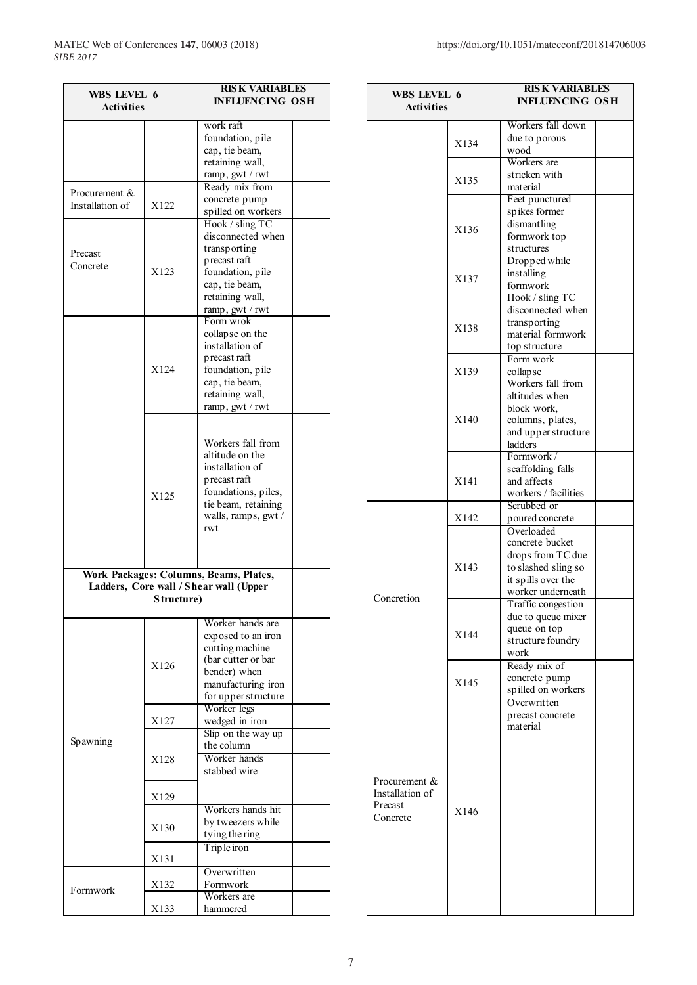| WBS LEVEL 6       |            | <b>RISK VARIABLES</b>                  |  |
|-------------------|------------|----------------------------------------|--|
| <b>Activities</b> |            | <b>INFLUENCING OSH</b>                 |  |
|                   |            |                                        |  |
|                   |            | work raft                              |  |
|                   |            | foundation, pile                       |  |
|                   |            | cap, tie beam,                         |  |
|                   |            | retaining wall,                        |  |
|                   |            | ramp, gwt / rwt                        |  |
| Procurement &     |            | Ready mix from                         |  |
| Installation of   | X122       | concrete pump<br>spilled on workers    |  |
|                   |            | Hook / sling TC                        |  |
|                   |            | disconnected when                      |  |
|                   |            | transporting                           |  |
| Precast           |            | precast raft                           |  |
| Concrete          | X123       | foundation, pile                       |  |
|                   |            | cap, tie beam,                         |  |
|                   |            | retaining wall,                        |  |
|                   |            | ramp, gwt / rwt                        |  |
|                   |            | Form wrok                              |  |
|                   |            | collapse on the                        |  |
|                   |            | installation of                        |  |
|                   |            | precast raft                           |  |
|                   | X124       | foundation, pile                       |  |
|                   |            | cap, tie beam,                         |  |
|                   |            | retaining wall,                        |  |
|                   |            | ramp, gwt / rwt                        |  |
|                   |            |                                        |  |
|                   |            | Workers fall from                      |  |
|                   |            | altitude on the                        |  |
|                   |            | installation of                        |  |
|                   |            | precast raft                           |  |
|                   | X125       | foundations, piles,                    |  |
|                   |            | tie beam, retaining                    |  |
|                   |            | walls, ramps, gwt /                    |  |
|                   |            | rwt                                    |  |
|                   |            |                                        |  |
|                   |            |                                        |  |
|                   |            | Work Packages: Columns, Beams, Plates, |  |
|                   |            | Ladders, Core wall / Shear wall (Upper |  |
|                   | Structure) |                                        |  |
|                   |            |                                        |  |
|                   |            | Worker hands are                       |  |
|                   |            | exposed to an iron                     |  |
|                   |            | cutting machine                        |  |
|                   | X126       | (bar cutter or bar                     |  |
|                   |            | bender) when                           |  |
|                   |            | manufacturing iron                     |  |
|                   |            | for upper structure<br>Worker legs     |  |
|                   | X127       | wedged in iron                         |  |
|                   |            | Slip on the way up                     |  |
| Spawning          |            | the column                             |  |
|                   | X128       | Worker hands                           |  |
|                   |            | stabbed wire                           |  |
|                   |            |                                        |  |
|                   | X129       |                                        |  |
|                   |            | Workers hands hit                      |  |
|                   |            | by tweezers while                      |  |
|                   | X130       | tying the ring                         |  |
|                   |            | Triple iron                            |  |
|                   | X131       |                                        |  |
|                   |            | Overwritten                            |  |
|                   | X132       | Formwork                               |  |
| Formwork          |            | Workers are                            |  |
|                   | X133       | hammered                               |  |

| WBS LEVEL 6      |      | <b>RISK VARIABLES</b>                     |  |
|------------------|------|-------------------------------------------|--|
| Activities       |      | <b>INFLUENCING OSH</b>                    |  |
|                  |      | Workers fall down                         |  |
|                  |      | due to porous                             |  |
|                  | X134 | wood                                      |  |
|                  |      | Workers are                               |  |
|                  |      | stricken with                             |  |
|                  | X135 | material                                  |  |
|                  |      | Feet punctured                            |  |
|                  |      | spikes former                             |  |
|                  | X136 | dismantling                               |  |
|                  |      | formwork top                              |  |
|                  |      | structures                                |  |
|                  |      | Dropped while                             |  |
|                  | X137 | installing                                |  |
|                  |      | formwork<br>Hook / sling TC               |  |
|                  |      | disconnected when                         |  |
|                  |      | transporting                              |  |
|                  | X138 | material formwork                         |  |
|                  |      | top structure                             |  |
|                  |      | Form work                                 |  |
|                  | X139 | collapse                                  |  |
|                  |      | Workers fall from                         |  |
|                  |      | altitudes when                            |  |
|                  | X140 | block work,                               |  |
|                  |      | columns, plates,<br>and upper structure   |  |
|                  |      | ladders                                   |  |
|                  |      | Formwork /                                |  |
|                  |      | scaffolding falls                         |  |
|                  | X141 | and affects                               |  |
|                  |      | workers / facilities                      |  |
|                  |      | Scrubbed or                               |  |
|                  | X142 | poured concrete                           |  |
|                  |      | Overloaded                                |  |
|                  |      | concrete bucket                           |  |
|                  |      | drops from TC due                         |  |
|                  | X143 | to slashed sling so<br>it spills over the |  |
|                  |      | worker underneath                         |  |
| Concretion       |      | Traffic congestion                        |  |
|                  |      | due to queue mixer                        |  |
|                  | X144 | queue on top                              |  |
|                  |      | structure foundry                         |  |
|                  |      | work                                      |  |
|                  |      | Ready mix of                              |  |
|                  | X145 | concrete pump                             |  |
|                  |      | spilled on workers<br>Overwritten         |  |
|                  |      | precast concrete                          |  |
|                  |      | material                                  |  |
|                  |      |                                           |  |
|                  |      |                                           |  |
|                  |      |                                           |  |
| Procurement $\&$ |      |                                           |  |
| Installation of  |      |                                           |  |
| Precast          |      |                                           |  |
| Concrete         | X146 |                                           |  |
|                  |      |                                           |  |
|                  |      |                                           |  |
|                  |      |                                           |  |
|                  |      |                                           |  |
|                  |      |                                           |  |
|                  |      |                                           |  |
|                  |      |                                           |  |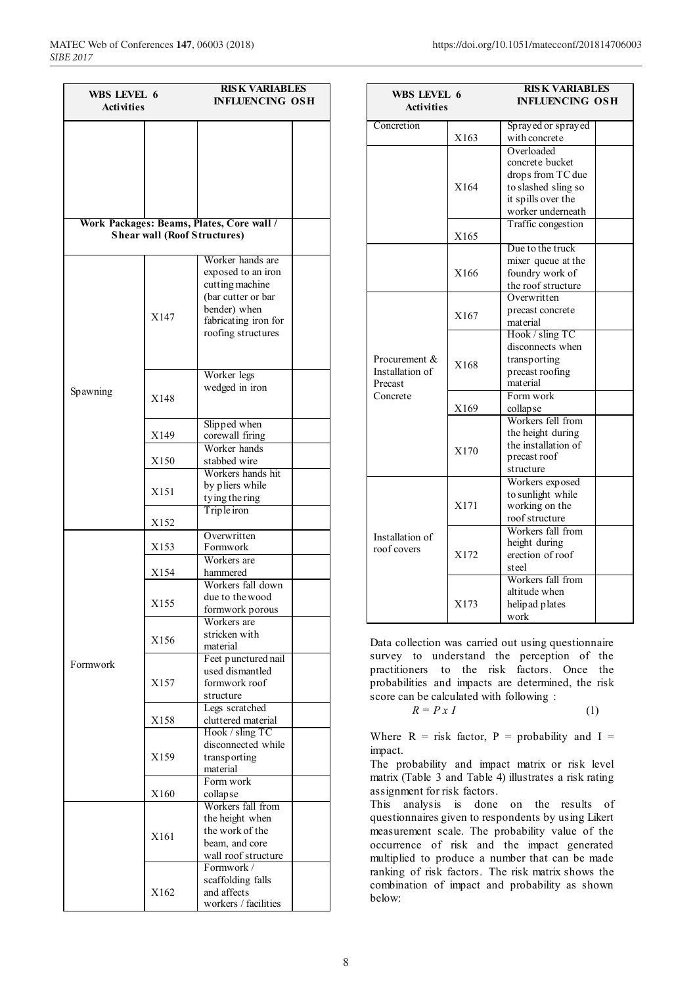| WBS LEVEL 6<br><b>Activities</b> |                                     | <b>RISK VARIABLES</b><br><b>INFLUENCING OSH</b>                                                                                               |  |
|----------------------------------|-------------------------------------|-----------------------------------------------------------------------------------------------------------------------------------------------|--|
|                                  |                                     |                                                                                                                                               |  |
|                                  | <b>Shear wall (Roof Structures)</b> | Work Packages: Beams, Plates, Core wall /                                                                                                     |  |
|                                  | X147                                | Worker hands are<br>exposed to an iron<br>cutting machine<br>(bar cutter or bar<br>bender) when<br>fabricating iron for<br>roofing structures |  |
| Spawning                         | X148                                | Worker legs<br>wedged in iron                                                                                                                 |  |
|                                  | X149                                | Slipped when<br>corewall firing                                                                                                               |  |
|                                  | X150                                | Worker hands<br>stabbed wire                                                                                                                  |  |
|                                  | X151                                | Workers hands hit<br>by pliers while<br>ty ing the ring                                                                                       |  |
|                                  | X152                                | Triple iron                                                                                                                                   |  |
|                                  | X153                                | Overwritten<br>Formwork                                                                                                                       |  |
|                                  | X154                                | Workers are<br>hammered                                                                                                                       |  |
|                                  | X155                                | Workers fall down<br>due to the wood<br>formwork porous                                                                                       |  |
|                                  | X156                                | Workers are<br>stricken with<br>material                                                                                                      |  |
| Formwork                         | X157                                | Feet punctured nail<br>used dismantled<br>formwork roof<br>structure                                                                          |  |
|                                  | X158                                | Legs scratched<br>cluttered material                                                                                                          |  |
|                                  | X159                                | Hook / sling TC<br>disconnected while<br>transporting<br>material                                                                             |  |
|                                  | X160                                | Form work<br>collapse                                                                                                                         |  |
|                                  | X161                                | Workers fall from<br>the height when<br>the work of the<br>beam, and core<br>wall roof structure                                              |  |
|                                  | X162                                | Formwork /<br>scaffolding falls<br>and affects<br>workers / facilities                                                                        |  |

| WBS LEVEL 6<br><b>Activities</b> |      | <b>RISK VARIABLES</b><br><b>INFLUENCING OSH</b> |  |  |
|----------------------------------|------|-------------------------------------------------|--|--|
| Concretion                       |      | Sprayed or sprayed                              |  |  |
|                                  | X163 | with concrete                                   |  |  |
|                                  |      | Overloaded<br>concrete bucket                   |  |  |
|                                  |      | drops from TC due                               |  |  |
|                                  | X164 | to slashed sling so                             |  |  |
|                                  |      | it spills over the                              |  |  |
|                                  |      | worker underneath                               |  |  |
|                                  |      | Traffic congestion                              |  |  |
|                                  | X165 |                                                 |  |  |
|                                  |      | Due to the truck                                |  |  |
|                                  |      | mixer queue at the                              |  |  |
|                                  | X166 | foundry work of                                 |  |  |
|                                  |      | the roof structure                              |  |  |
|                                  |      | Overwritten                                     |  |  |
|                                  | X167 | precast concrete<br>material                    |  |  |
|                                  |      | Hook / sling TC                                 |  |  |
|                                  | X168 | disconnects when                                |  |  |
| Procurement &                    |      | transporting                                    |  |  |
| Installation of                  |      | precast roofing                                 |  |  |
| Precast                          |      | material                                        |  |  |
| Concrete                         |      | Form work                                       |  |  |
|                                  | X169 | collapse                                        |  |  |
|                                  |      | Workers fell from                               |  |  |
|                                  |      | the height during                               |  |  |
|                                  | X170 | the installation of                             |  |  |
|                                  |      | precast roof                                    |  |  |
|                                  |      | structure<br>Workers exposed                    |  |  |
|                                  |      | to sunlight while                               |  |  |
|                                  | X171 | working on the                                  |  |  |
|                                  |      | roof structure                                  |  |  |
|                                  |      | Workers fall from                               |  |  |
| Installation of<br>roof covers   |      | height during                                   |  |  |
|                                  | X172 | erection of roof                                |  |  |
|                                  |      | steel                                           |  |  |
|                                  |      | Workers fall from                               |  |  |
|                                  | X173 | altitude when                                   |  |  |
|                                  |      | helipad plates<br>work                          |  |  |
|                                  |      |                                                 |  |  |

Data collection was carried out using questionnaire survey to understand the perception of the practitioners to the risk factors. Once the probabilities and impacts are determined, the risk score can be calculated with following :

$$
R = P \, x \, I \tag{1}
$$

Where  $R =$  risk factor,  $P =$  probability and  $I =$ impact.

The probability and impact matrix or risk level matrix (Table 3 and Table 4) illustrates a risk rating assignment for risk factors.

This analysis is done on the results of questionnaires given to respondents by using Likert measurement scale. The probability value of the occurrence of risk and the impact generated multiplied to produce a number that can be made ranking of risk factors. The risk matrix shows the combination of impact and probability as shown below: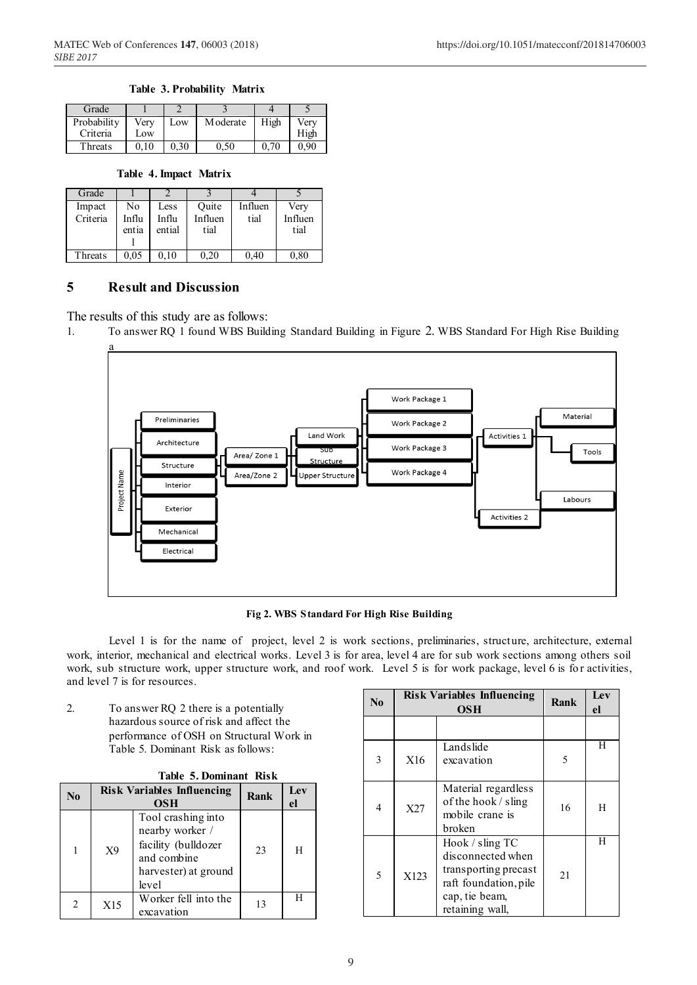#### **Table 3. Probability Matrix**

| Grade       |      |      |           |      |      |
|-------------|------|------|-----------|------|------|
| Probability | Verv | Low  | M oderate | High | Verv |
| Criteria    | Low  |      |           |      | High |
| Threats     | 010  | 0.30 | 0,50      | 0.70 | 0.90 |

#### **Table 4. Impact Matrix**

| Grade              |                      |                         |                          |                 |                         |
|--------------------|----------------------|-------------------------|--------------------------|-----------------|-------------------------|
| Impact<br>Criteria | No<br>Influ<br>entia | Less<br>Influ<br>ential | Ouite<br>Influen<br>tial | Influen<br>tial | Very<br>Influen<br>tial |
| Threats            | 0.05                 | $0.10\,$                | 0.20                     | 0.40            | 0.80                    |

### **5 Result and Discussion**

The results of this study are as follows:

1. To answer RQ 1 found WBS Building Standard Building in Figure 2. WBS Standard For High Rise Building



**Fig 2. WBS Standard For High Rise Building**

Level 1 is for the name of project, level 2 is work sections, preliminaries, structure, architecture, external work, interior, mechanical and electrical works. Level 3 is for area, level 4 are for sub work sections among others soil work, sub structure work, upper structure work, and roof work. Level 5 is for work package, level 6 is for activities, and level 7 is for resources.

2. To answer RQ 2 there is a potentially hazardous source of risk and affect the performance of OSH on Structural Work in Table 5. Dominant Risk as follows:

| <b>Table 5. Dominant Risk</b> |     |                                                                                                              |      |           |  |  |  |
|-------------------------------|-----|--------------------------------------------------------------------------------------------------------------|------|-----------|--|--|--|
| No                            |     | <b>Risk Variables Influencing</b><br><b>OSH</b>                                                              | Rank | Lev<br>el |  |  |  |
| 1                             | X9  | Tool crashing into<br>nearby worker /<br>facility (bulldozer<br>and combine<br>harvester) at ground<br>level | 23   | Н         |  |  |  |
| $\mathfrak{D}$                | X15 | Worker fell into the<br>excavation                                                                           | 13   |           |  |  |  |

| $\mathbf{N}\mathbf{0}$ |                                                                                                                                    | <b>Risk Variables Influencing</b><br><b>OSH</b>                                     | Rank | Lev<br>el |
|------------------------|------------------------------------------------------------------------------------------------------------------------------------|-------------------------------------------------------------------------------------|------|-----------|
|                        |                                                                                                                                    |                                                                                     |      |           |
| 3                      | X16                                                                                                                                | Landslide<br>excavation                                                             | 5    | H         |
| 4                      | X27                                                                                                                                | Material regardless<br>of the hook $\frac{1}{3}$ sling<br>mobile crane is<br>broken | 16   | H         |
| 5                      | Hook / sling TC<br>disconnected when<br>transporting precast<br>X123<br>raft foundation, pile<br>cap, tie beam,<br>retaining wall, |                                                                                     | 21   | H         |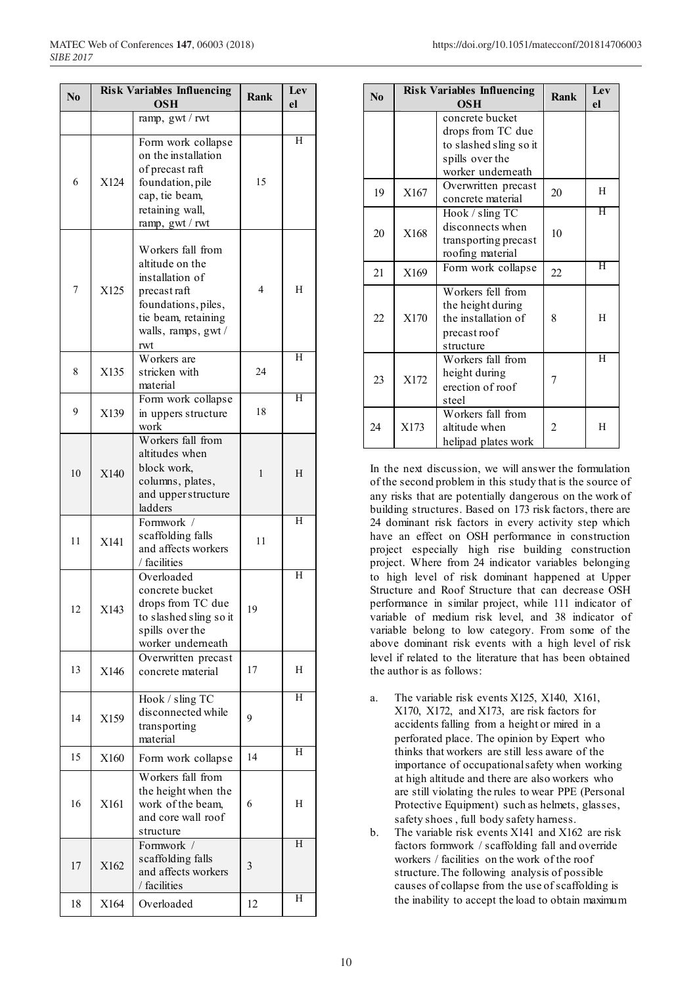| N <sub>0</sub> |      | <b>Risk Variables Influencing</b><br><b>OSH</b>                                                                                                     | <b>Rank</b> | Lev<br>el          |
|----------------|------|-----------------------------------------------------------------------------------------------------------------------------------------------------|-------------|--------------------|
|                |      | ramp, gwt / rwt                                                                                                                                     |             |                    |
| 6              | X124 | Form work collapse<br>on the installation<br>of precast raft<br>foundation, pile<br>cap, tie beam,<br>retaining wall,<br>ramp, gwt / rwt            | 15          | Η                  |
| 7              | X125 | Workers fall from<br>altitude on the<br>installation of<br>precast raft<br>foundations, piles,<br>tie beam, retaining<br>walls, ramps, gwt /<br>rwt | 4           | H                  |
| 8              | X135 | Workers are<br>stricken with<br>material                                                                                                            | 24          | Η                  |
| 9              | X139 | Form work collapse<br>in uppers structure<br>work                                                                                                   | 18          | Η                  |
| 10             | X140 | Workers fall from<br>altitudes when<br>block work,<br>columns, plates,<br>and upper structure<br>ladders                                            | 1           | Н                  |
| 11             | X141 | Formwork /<br>scaffolding falls<br>and affects workers<br>/ facilities                                                                              | 11          | $\overline{\rm H}$ |
| 12             | X143 | Overloaded<br>concrete bucket<br>drops from TC due<br>to slashed sling so it<br>spills over the<br>worker underneath                                | 19          | H                  |
| 13             | X146 | Overwritten precast<br>concrete material                                                                                                            | 17          | Н                  |
| 14             | X159 | Hook / sling TC<br>disconnected while<br>transporting<br>material                                                                                   | 9           | Η                  |
| 15             | X160 | Form work collapse                                                                                                                                  | 14          | Η                  |
| 16             | X161 | Workers fall from<br>the height when the<br>work of the beam,<br>and core wall roof<br>structure                                                    | 6           | Н                  |
| 17             | X162 | Formwork /<br>scaffolding falls<br>and affects workers<br>/ facilities                                                                              | 3           | H                  |
| 18             | X164 | Overloaded                                                                                                                                          | 12          | H                  |

| $\mathbf{N_0}$ |      | <b>Risk Variables Influencing</b><br><b>OSH</b>                                                        | Rank           | Lev<br>el          |
|----------------|------|--------------------------------------------------------------------------------------------------------|----------------|--------------------|
|                |      | concrete bucket<br>drops from TC due<br>to slashed sling so it<br>spills over the<br>worker underneath |                |                    |
| 19             | X167 | Overwritten precast<br>concrete material                                                               | 20             | H                  |
| 20             | X168 | Hook / sling TC<br>disconnects when<br>transporting precast<br>roofing material                        | 10             | Ή                  |
| 21             | X169 | Form work collapse                                                                                     | 22             | Ή                  |
| 22             | X170 | Workers fell from<br>the height during<br>the installation of<br>precast roof<br>structure             | 8              | H                  |
| 23             | X172 | Workers fall from<br>height during<br>erection of roof<br>steel                                        |                | $\overline{\rm H}$ |
| 24             | X173 | Workers fall from<br>altitude when<br>helipad plates work                                              | $\mathfrak{D}$ | H                  |

In the next discussion, we will answer the formulation of the second problem in this study that is the source of any risks that are potentially dangerous on the work of building structures. Based on 173 risk factors, there are 24 dominant risk factors in every activity step which have an effect on OSH performance in construction project especially high rise building construction project. Where from 24 indicator variables belonging to high level of risk dominant happened at Upper Structure and Roof Structure that can decrease OSH performance in similar project, while 111 indicator of variable of medium risk level, and 38 indicator of variable belong to low category. From some of the above dominant risk events with a high level of risk level if related to the literature that has been obtained the author is as follows:

- a. The variable risk events X125, X140, X161, X170, X172, and X173, are risk factors for accidents falling from a height or mired in a perforated place. The opinion by Expert who thinks that workers are still less aware of the importance of occupational safety when working at high altitude and there are also workers who are still violating the rules to wear PPE (Personal Protective Equipment) such as helmets, glasses, safety shoes , full body safety harness.
- b. The variable risk events X141 and X162 are risk factors formwork / scaffolding fall and override workers / facilities on the work of the roof structure. The following analysis of possible causes of collapse from the use of scaffolding is the inability to accept the load to obtain maximum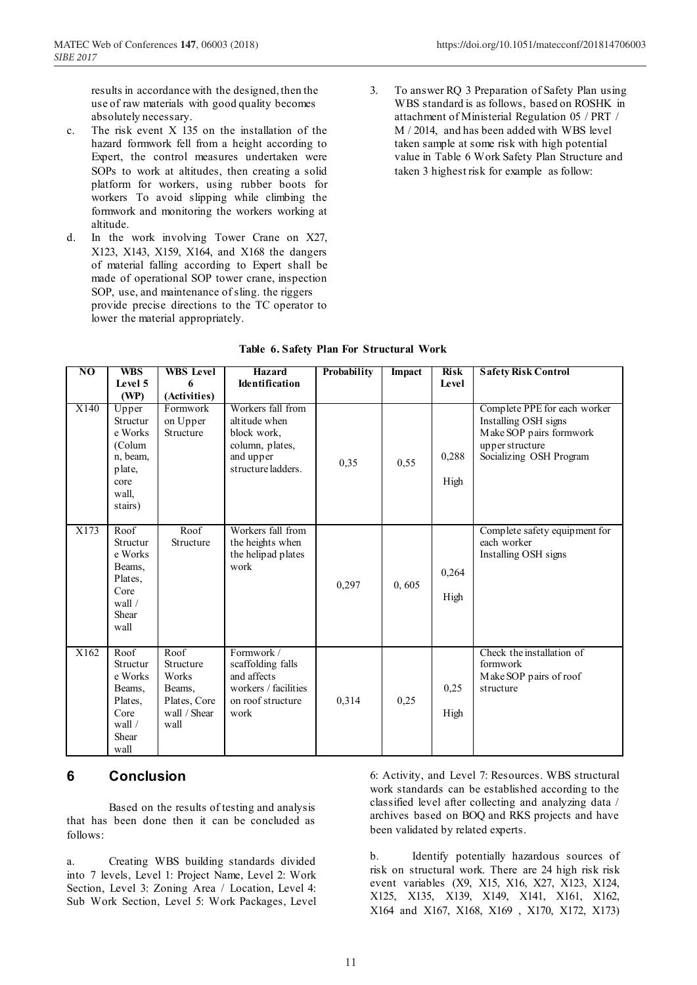results in accordance with the designed, then the use of raw materials with good quality becomes absolutely necessary.

- c. The risk event X 135 on the installation of the hazard formwork fell from a height according to Expert, the control measures undertaken were SOPs to work at altitudes, then creating a solid platform for workers, using rubber boots for workers To avoid slipping while climbing the formwork and monitoring the workers working at altitude.
- d. In the work involving Tower Crane on X27, X123, X143, X159, X164, and X168 the dangers of material falling according to Expert shall be made of operational SOP tower crane, inspection SOP, use, and maintenance of sling. the riggers provide precise directions to the TC operator to lower the material appropriately.
- 3. To answer RQ 3 Preparation of Safety Plan using WBS standard is as follows, based on ROSHK in attachment of Ministerial Regulation 05 / PRT / M / 2014, and has been added with WBS level taken sample at some risk with high potential value in Table 6 Work Safety Plan Structure and taken 3 highest risk for example as follow:

| NO   | <b>WBS</b>                                                                               | <b>WBS</b> Level                                                             | <b>Hazard</b>                                                                                           | <b>Probability</b> | <b>Impact</b> | Risk          | <b>Safety Risk Control</b>                                                                                                    |
|------|------------------------------------------------------------------------------------------|------------------------------------------------------------------------------|---------------------------------------------------------------------------------------------------------|--------------------|---------------|---------------|-------------------------------------------------------------------------------------------------------------------------------|
|      | Level 5                                                                                  |                                                                              | Identification                                                                                          |                    |               | Level         |                                                                                                                               |
|      | (WP)                                                                                     | (Activities)                                                                 |                                                                                                         |                    |               |               |                                                                                                                               |
| X140 | Upper<br>Structur<br>e Works<br>(Colum<br>n, beam.<br>plate,<br>core<br>wall.<br>stairs) | Formwork<br>on Upper<br>Structure                                            | Workers fall from<br>altitude when<br>block work,<br>column, plates,<br>and upper<br>structure ladders. | 0,35               | 0,55          | 0,288<br>High | Complete PPE for each worker<br>Installing OSH signs<br>Make SOP pairs formwork<br>upper structure<br>Socializing OSH Program |
| X173 | Roof<br>Structur<br>e Works<br>Beams,<br>Plates.<br>Core<br>wall $/$<br>Shear<br>wall    | Roof<br>Structure                                                            | Workers fall from<br>the heights when<br>the helipad plates<br>work                                     | 0,297              | 0,605         | 0,264<br>High | Complete safety equipment for<br>each worker<br>Installing OSH signs                                                          |
| X162 | Root<br>Structur<br>e Works<br>Beams,<br>Plates,<br>Core<br>wall $/$<br>Shear<br>wall    | Roof<br>Structure<br>Works<br>Beams,<br>Plates, Core<br>wall / Shear<br>wall | Formwork /<br>scaffolding falls<br>and affects<br>workers / facilities<br>on roof structure<br>work     | 0,314              | 0,25          | 0,25<br>High  | Check the installation of<br>formwork<br>Make SOP pairs of roof<br>structure                                                  |

### **Table 6. Safety Plan For Structural Work**

**Hazard** 

## **6 Conclusion**

Based on the results of testing and analysis that has been done then it can be concluded as follows:

a. Creating WBS building standards divided into 7 levels, Level 1: Project Name, Level 2: Work Section, Level 3: Zoning Area / Location, Level 4: Sub Work Section, Level 5: Work Packages, Level 6: Activity, and Level 7: Resources. WBS structural work standards can be established according to the classified level after collecting and analyzing data / archives based on BOQ and RKS projects and have been validated by related experts.

b. Identify potentially hazardous sources of risk on structural work. There are 24 high risk risk event variables (X9, X15, X16, X27, X123, X124, X125, X135, X139, X149, X141, X161, X162, X164 and X167, X168, X169 , X170, X172, X173)